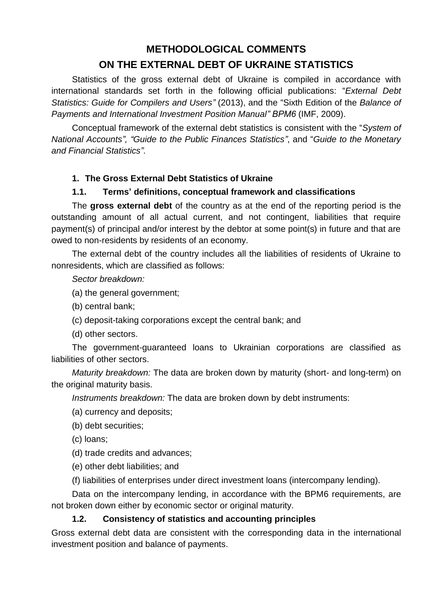# **METHODOLOGICAL COMMENTS ON THE EXTERNAL DEBT OF UKRAINE STATISTICS**

Statistics of the gross external debt of Ukraine is compiled in accordance with international standards set forth in the following official publications: "*External Debt Statistics: Guide for Compilers and Users"* (2013), and the "Sixth Edition of the *Balance of Payments and International Investment Position Manual" BPM6* (IMF, 2009).

Conceptual framework of the external debt statistics is consistent with the "*System of National Accounts", "Guide to the Public Finances Statistics"*, and "*Guide to the Monetary and Financial Statistics"*.

#### **1. The Gross External Debt Statistics of Ukraine**

#### **1.1. Terms' definitions, conceptual framework and classifications**

The **gross external debt** of the country as at the end of the reporting period is the outstanding amount of all actual current, and not contingent, liabilities that require payment(s) of principal and/or interest by the debtor at some point(s) in future and that are owed to non-residents by residents of an economy.

The external debt of the country includes all the liabilities of residents of Ukraine to nonresidents, which are classified as follows:

*Sector breakdown:*

- (a) the general government;
- (b) central bank;
- (c) deposit-taking corporations except the central bank; and
- (d) other sectors.

The government-guaranteed loans to Ukrainian corporations are classified as liabilities of other sectors.

*Maturity breakdown:* The data are broken down by maturity (short- and long-term) on the original maturity basis.

*Instruments breakdown:* The data are broken down by debt instruments:

(a) currency and deposits;

- (b) debt securities;
- (c) loans;

(d) trade credits and advances;

(e) other debt liabilities; and

(f) liabilities of enterprises under direct investment loans (intercompany lending).

Data on the intercompany lending, in accordance with the BPM6 requirements, are not broken down either by economic sector or original maturity.

#### **1.2. Consistency of statistics and accounting principles**

Gross external debt data are consistent with the corresponding data in the international investment position and balance of payments.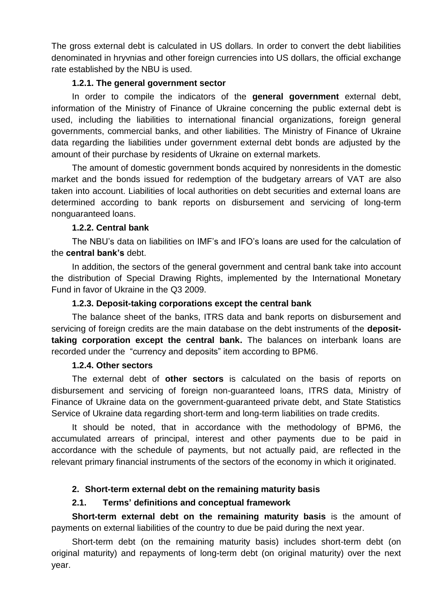The gross external debt is calculated in US dollars. In order to convert the debt liabilities denominated in hryvnias and other foreign currencies into US dollars, the official exchange rate established by the NBU is used.

# **1.2.1. The general government sector**

In order to compile the indicators of the **general government** external debt, information of the Ministry of Finance of Ukraine concerning the public external debt is used, including the liabilities to international financial organizations, foreign general governments, commercial banks, and other liabilities. The Ministry of Finance of Ukraine data regarding the liabilities under government external debt bonds are adjusted by the amount of their purchase by residents of Ukraine on external markets.

The amount of domestic government bonds acquired by nonresidents in the domestic market and the bonds issued for redemption of the budgetary arrears of VAT are also taken into account. Liabilities of local authorities on debt securities and external loans are determined according to bank reports on disbursement and servicing of long-term nonguaranteed loans.

#### **1.2.2. Central bank**

The NBU's data on liabilities on IMF's and IFO's loans are used for the calculation of the **central bank's** debt.

In addition, the sectors of the general government and central bank take into account the distribution of Special Drawing Rights, implemented by the International Monetary Fund in favor of Ukraine in the Q3 2009.

#### **1.2.3. Deposit-taking corporations except the central bank**

The balance sheet of the banks, ITRS data and bank reports on disbursement and servicing of foreign credits are the main database on the debt instruments of the **deposittaking corporation except the central bank.** The balances on interbank loans are recorded under the "currency and deposits" item according to BPM6.

#### **1.2.4. Other sectors**

The external debt of **other sectors** is calculated on the basis of reports on disbursement and servicing of foreign non-guaranteed loans, ITRS data, Ministry of Finance of Ukraine data on the government-guaranteed private debt, and State Statistics Service of Ukraine data regarding short-term and long-term liabilities on trade credits.

It should be noted, that in accordance with the methodology of BPM6, the accumulated arrears of principal, interest and other payments due to be paid in accordance with the schedule of payments, but not actually paid, are reflected in the relevant primary financial instruments of the sectors of the economy in which it originated.

# **2. Short-term external debt on the remaining maturity basis**

# **2.1. Terms' definitions and conceptual framework**

**Short-term external debt on the remaining maturity basis** is the amount of payments on external liabilities of the country to due be paid during the next year.

Short-term debt (on the remaining maturity basis) includes short-term debt (on original maturity) and repayments of long-term debt (on original maturity) over the next year.